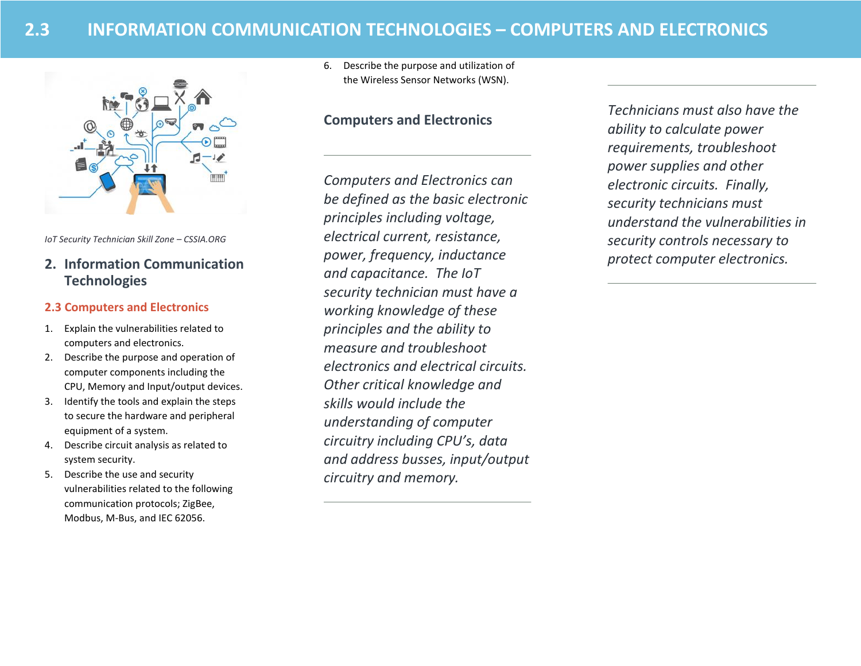

*IoT Security Technician Skill Zone – CSSIA.ORG*

# **2. Information Communication Technologies**

### **2.3 Computers and Electronics**

- 1. Explain the vulnerabilities related to computers and electronics.
- 2. Describe the purpose and operation of computer components including the CPU, Memory and Input/output devices.
- 3. Identify the tools and explain the steps to secure the hardware and peripheral equipment of a system.
- 4. Describe circuit analysis as related to system security.
- 5. Describe the use and security vulnerabilities related to the following communication protocols; ZigBee, Modbus, M-Bus, and IEC 62056.

6. Describe the purpose and utilization of the Wireless Sensor Networks (WSN).

# **Computers and Electronics**

*Computers and Electronics can be defined as the basic electronic principles including voltage, electrical current, resistance, power, frequency, inductance and capacitance. The IoT security technician must have a working knowledge of these principles and the ability to measure and troubleshoot electronics and electrical circuits. Other critical knowledge and skills would include the understanding of computer circuitry including CPU's, data and address busses, input/output circuitry and memory.* 

*Technicians must also have the ability to calculate power requirements, troubleshoot power supplies and other electronic circuits. Finally, security technicians must understand the vulnerabilities in security controls necessary to protect computer electronics.*